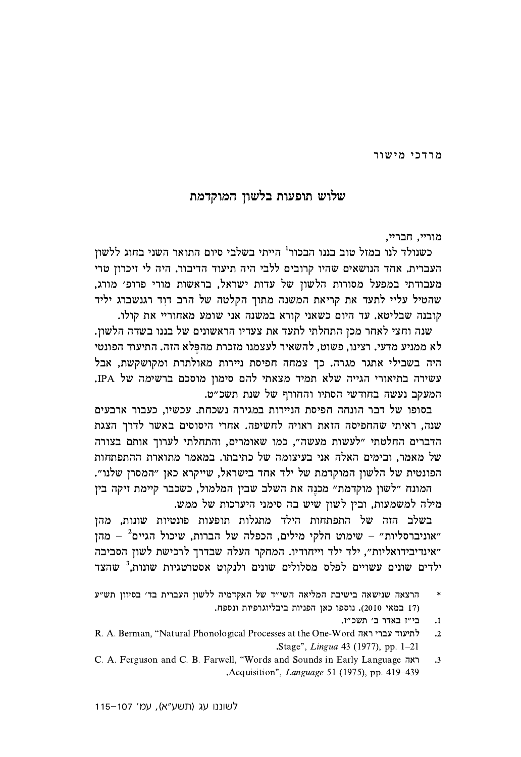מרדכי מישור

## שלוש תופעות בלשון המוקדמת

מוריי. חבריי.

כשנולד לנו במזל טוב בננו הבכור<sup>ו</sup> הייתי בשלבי סיום התואר השני בחוג ללשון העברית. אחד הנושאים שהיו קרובים ללבי היה תיעוד הדיבור. היה לי זיכרון טרי מעבודתי במפעל מסורות הלשון של עדות ישראל, בראשות מורי פרופ׳ מורג, שהטיל עליי לתעד את קריאת המשנה מתוך הקלטה של הרב דוד רגנשברג יליד קובנה שבליטא. עד היום כשאני קורא במשנה אני שומע מאחוריי את קולו.

שנה וחצי לאחר מכן התחלתי לתעד את צעדיו הראשונים של בננו בשדה הלשון. לא ממניע מדעי. רצינו, פשוט, להשאיר לעצמנו מזכרת מהפלא הזה. התיעוד הפונטי היה בשבילי אתגר מגרה. כך צמחה חפיסת ניירות מאולתרת ומקושקשת, אבל עשירה בתיאורי הגייה שלא תמיד מצאתי להם סימון מוסכם ברשימה של IPA. המעקב נעשה בחודשי הסתיו והחורף של שנת תשכ״ט.

בסופו של דבר הונחה חפיסת הניירות במגירה נשכחת. עכשיו, כעבור ארבעים שנה, ראיתי שהחפיסה הזאת ראויה לחשיפה. אחרי היסוסים באשר לדרך הצגת הדברים החלטתי "לעשות מעשה", כמו שאומרים, והתחלתי לערוך אותם בצורה של מאמר, ובימים האלה אני בעיצומה של כתיבתו. במאמר מתוארת ההתפתחות הפונטית של הלשון המוקדמת של ילד אחד בישראל, שייקרא כאן "המסרן שלנו". המונח "לשון מוקדמת" מכנה את השלב שבין המלמול, כשכבר קיימת זיקה בין

מילה למשמעות, ובין לשון שיש בה סימני היערכות של ממש.

בשלב הזה של התפתחות הילד מתגלות תופעות פונטיות שונות, מהן "אוניברסליות" – שימוט חלקי מילים, הכפלה של הברות, שיכול הגיים<sup>2</sup> – מהן "אינדיבידואליות", ילד ילד וייחודיו. המחקר העלה שבדרך לרכישת לשון הסביבה ילדים שונים עשויים לפלס מסלולים שונים ולנקוט אסטרטגיות שונות.<sup>3</sup> שהצד

- בי"ז באדר ב׳ תשכ"ז.  $\cdot$ 1
- R. A. Berman, "Natural Phonological Processes at the One-Word לתיעוד עברי ראה  $\overline{\phantom{a}}$ .Stage", *Lingua* 43 (1977), pp. 1–21
- C. A. Ferguson and C. B. Farwell, "Words and Sounds in Early Language ראה  $\cdot$ <sup>3</sup> .Acquisition", *Language* 51 (1975), pp. 419–439

הרצאה שנישאה בישיבת המליאה השי"ד של האקדמיה ללשון העברית בד' בסיוון תש"ע  $\ast$ (17 במאי 2010). נוספו כאן הפניות ביבליוגרפיות ונספח.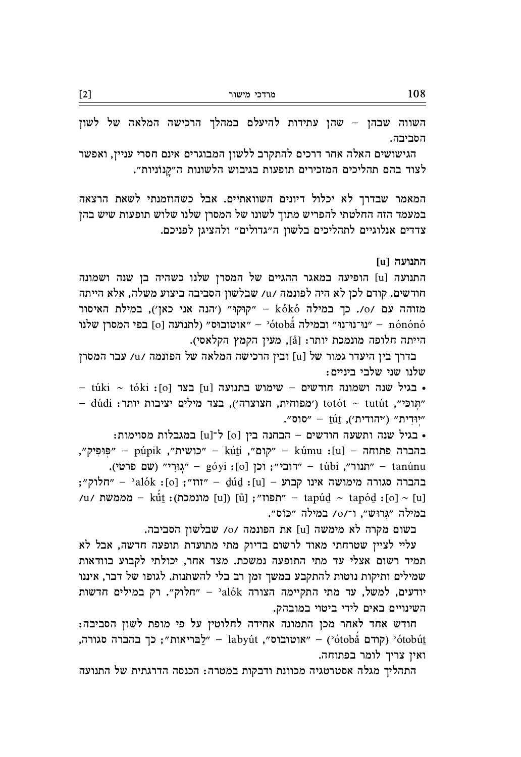השווה שבהן – שהן עתידות להיעלם במהלך הרכישה המלאה של לשון הסביבה.

הגישושים האלה אחר דרכים להתקרב ללשון המבוגרים אינם חסרי עניין, ואפשר לצוד בהם תהליכים המזכירים תופעות בגיבוש הלשונות ה"קנוניות".

המאמר שבדרך לא יכלול דיונים השוואתיים. אבל כשהוזמנתי לשאת הרצאה במעמד הזה החלטתי להפריש מתוך לשונו של המסרן שלנו שלוש תופעות שיש בהן צדדים אנלוגיים לתהליכים בלשון ה״גדולים״ ולהציגן לפניכם.

## התנועה [u

התנועה [u] הופיעה במאגר ההגיים של המסרן שלנו כשהיה בן שנה ושמונה חודשים. קודם לכן לא היה לפונמה /u/ שבלשון הסביבה ביצוע משלה, אלא הייתה ה עם /0/. כך במילה kókó - "קוּקוּ" ('הנה אני כאן'), במילת האיסור ינוּ־נוּ־נוּ״ ובמילה (לתנועה סוס)<br/> - "אוטובוּס" (לתנועה סוס)<br> - "צויטובוי" - ממסרן שלנו הייתה חלופה מונמכת יותר: [å], מעין הקמץ הקלאסי).

בדרך בין היעדר גמור של [u] ובין הרכישה המלאה של הפונמה /u/ עבר המסרן שלנו שני שלבי ביניים:

 – túki ~ tóki :<br/>[0] בצד [u] בארל שנה ישמונה לוחדשים – שימוש בתנועה - túki <br/> – dúdi : מוכי", totót ~ tutút (מפוחית, חצוצרה'), בצד מילים יציבות יותר "יִוּדְיֹת" ("יהודית"), עב - "סוס".

• בגיל שנה ותשעה חודשים - הבחנה בין [o] ל־[u] במגבלות מסוימות: , "פּוּפִּיק", – púpik , "כושית" – kúti , "קום", ו־hótti – "פּוּפִיק", – "פּוּפִיק", .<br>תנור״, יובן ישם פרטי).<br>הענור״, túbi - יחנור״, túbi - ידובי״; וכן [o]: góyi ; "הלוק"; - "alók :[o] ; "נוז" - dúd :[u] - בהברה סגורה מימושה אינו קבוע /תפוז"; [u]) [ů] - "תפוז"; [u]) תונמכת)<br>- 'תפוז"; [u]) מונמכת)<br>- 'תפוז" (u] מונמכת) במילה "גרוּש", ו־/o/ במילה "כּוֹס".

בשום מקרה לא מימשה [u] את הפונמה /o/ שבלשון הסביבה.

עליי לציין שטרחתי מאוד לרשום בדיוק מתי מתועדת תופעה חדשה, אבל לא תמיד רשום אצלי עד מתי התופעה נמשכת. מצד אחר, יכולתי לקבוע בוודאות שמילים ותיקות נוטות להתקבע במשך זמן רב בלי להשתנות. לגופו של דבר, איננו יודעים, למשל, עד מתי התקיימה הצורה alók' - "חלוק". רק במילים חדשות השינויים באים לידי ביטוי במובהק.

חודש אחד לאחר מכן התמונה אחידה לחלוטין על פי מופת לשון הסביבה: קודם  $\text{otobi}$  – "אוטובוס", labyút – "אוטובוס", אוטובוס", אוטובוס" – ילבריאות"; כך בהברה סגורה ואין צריך לומר בפתוחה.

התהליך מגלה אסטרטגיה מכוונת ודבקות במטרה: הכנסה הדרגתית של התנועה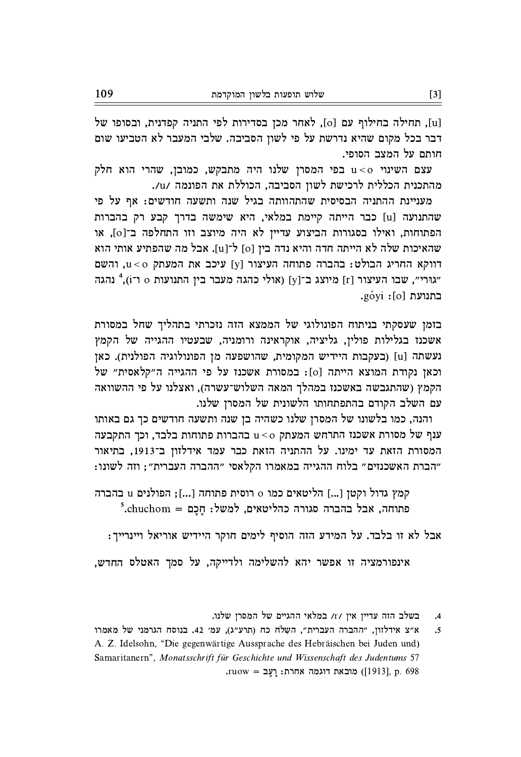[u], תחילה בחילוף עם [o], לאחר מכן בסדירות לפי התניה קפדנית, ובסופו של דבר בכל מקום שהיא נדרשת על פי לשון הסביבה. שלבי המעבר לא הטביעו שום חותם על המצב הסופי.

עצם השינוי u<o עצם המסרן שלנו היה מתבקש, כמובן, שהרי הוא חלק מהתכנית הכללית לרכישת לשון הסביבה, הכוללת את הפונמה /u/.

מעניינת ההתניה הבסיסית שהתהוותה בגיל שנה ותשעה חודשים: אף על פי שהתנועה [u] כבר הייתה קיימת במלאי, היא שימשה בדרך קבע רק בהברות הפתוחות, ואילו בסגורות הביצוע עדיין לא היה מיוצב וזו התחלפה ב־[0], או שהאיכות שלה לא הייתה חדה והיא נדה בין [o] ל־[u]. אבל מה שהפתיע אותי הוא , דווקא החריג הבולט: בהברה פתוחה העיצור [y] עיכב את המעתק u<o, והשם "גוּרי", שבו העיצור [r] מיוצג ב־[y] (אולי כהגה מעבר בין התנועות 0 ו־1, 24 נהגה בתנועת [o]: góyi.

בזמן שעסקתי בניתוח הפונולוגי של הממצא הזה נזכרתי בתהליך שחל במסורת אשכנז בגלילות פולין, גליציה, אוקראינה ורומניה, שבעטיו ההגייה של הקמץ נעשתה [u] (בעקבות היידיש המקומית, שהושפעה מן הפונולוגיה הפולנית). כאן וכאן נקודת המוצא הייתה [0]: במסורת אשכנז על פי ההגייה ה"קלאסית" של הקמץ (שהתגבשה באשכנז במהלך המאה השלוש־עשרה), ואצלנו על פי ההשוואה עם השלב הקודם בהתפתחותו הלשונית של המסרן שלנו.

והנה, כמו בלשונו של המסרן שלנו כשהיה בן שנה ותשעה חודשים כך גם באותו ענף של מסורת אשכנז התרחש המעתק u<o עברות פתוחות בלבד, וכך התקבעה המסורת הזאת עד ימינו. על ההתניה הזאת כבר עמד אידלזון ב־1913, בתיאור "הברת האשכנזים" בלוח ההגייה במאמרו הקלאסי "ההברה העברית"; וזה לשונו:

קמץ גדול וקטן [...] הליטאים כמו o רוסית פתוחה [...]; הפולנים u בהברה  $5$ .chuchom = פתוחה, אבל בהברה סגורה כהליטאים, למשל: חכם

אבל לא זו בלבד. על המידע הזה הוסיף לימים חוקר היידיש אוריאל ויינרייך:

אינפורמציה זו אפשר יהא להשלימה ולדייקה, על סמך האטלס החדש,

בשלב הזה עדיין אין /r/ במלאי ההגיים של המסרן שלנו.  $\cdot$ <sup>4</sup>

א״צ אידלזון, "ההברה העברית", השְלֹח כח (תרע"ג), עמ׳ 42. בנוסח הגרמני של מאמרו  $\cdot$ .5 A. Z. Idelsohn, "Die gegenwärtige Aussprache des Hebräischen bei Juden und) Samaritanern", Monatsschrift für Geschichte und Wissenschaft des Judentums 57 .<br/>ruow = מובאת דוגמה אחרת: רַעֲב $[1913]$ p. 698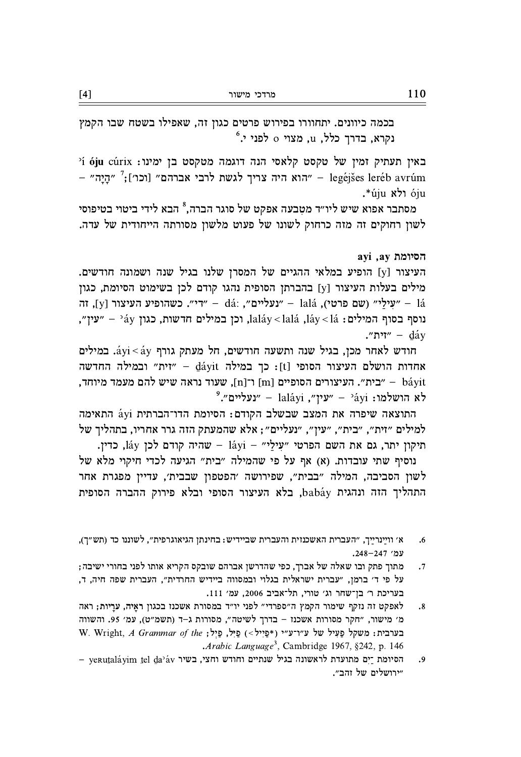בכמה כיוונים. יתחוורו בפירוש פרטים כגון זה, שאפילו בשטח שבו הקמץ  $\lq$ לפני י. $\alpha$  בדרך כלל, u, מצוי ס לפני י

ים 21 נעתיק ומין של טקסט קלאסי הנה דוגמה מטקסט בן ימינו: 6ju cúrix באין תעתיק – "הַיַה" – legéjšes leréb avrúm היה צריך לגשת לרבי הברהם" (וכוי הייבוד – "הַיַּה" óju ולא úju\*.

מסתבר אפוא שיש ליו״ד מטבעה אפקט של סוגר הברה.<sup>8</sup> הבא לידי ביטוי בטיפוסי לשון רחוקים זה מזה כרחוק לשונו של פעוט מלשון מסורתה הייחודית של עדה.

## ayi ,ay הסיומת

העיצור [y] הופיע במלאי ההגיים של המסרן שלנו בגיל שנה ושמונה חודשים. מילים בעלות העיצור [y] בהברתן הסופית נהגו קודם לכן בשימוט הסיומת, כגון , שטילי״ (שם העיצור - dá: , "נעליים", וה - "די״. כשהופיע העיצור [y], וה - "נעלי״ (שם היטי , נוסף בסוף המילים: 1aláy < lalá , <br/>lai, נכן במילים האולים: 1aláy < laí, נוסף בסוף המילים: 1 ."ית" –  $d$ ay

חודש לאחר מכן, בגיל שנה ותשעה חודשים, חל מעתק גורף áyi<áy. במילים החדשה - "זית" ובמילה החדשה [t]: כך במילה dáyit - "זית" ובמילה החדשה , בית". העיצורים הסופיים [m] ו־[n], שעוד נראה שיש להם מעמד מיוחד" "ינעליים".<br>לא הושלמו: <sup>2</sup>áyi – "עין", laláyi – "נעליים".

התוצאה שיפרה את המצב שבשלב הקודם: הסיומת הדו־הברתית áyi התאימה למילים "זית", "בית", "עין", "נעליים"; אלא שהמעתק הזה גרר אחריו, בתהליך של תיקון יתר, גם את השם הפרטי "עילי" - láyi - שהיה קודם לכן láy, כדין.

נוסיף שתי עובדות. (א) אף על פי שהמילה "בית" הגיעה לכדי חיקוי מלא של לשון הסביבה, המילה "בבית", שפירושה 'הפטפון שבבית', עדיין מפגרת אחר התהליך הזה ונהגית babáy, בלא העיצור הסופי ובלא פירוק ההברה הסופית

- א׳ וויַינריַיך, "העברית האשכנזית והעברית שביידיש: בחינתן הגיאוגרפית", לשוננו כד (תש"ך),  $.6$ עמ׳ 247–248.
- מתוך פתק ובו שאלה של אברך, כפי שהדרשן אברהם שובקס הקריא אותו לפני בחורי ישיבה;  $\cdot$ .7 על פי ד׳ ברמן, "עברית ישראלית בגלוי ובמסווה ביידיש החרדית", העברית שפה חיה, ד, בעריכת ר׳ בן־שחר וג׳ טורי, תל־אביב 2006, עמ׳ 111.
- לאפקט זה נזקף שימור הקמץ ה"ספרדי" לפני יו"ד במסורת אשכנז בכגון ראַיה, ערַיות; ראה  $\cdot$ <sup>8</sup> מ׳ מישור, "חקר מסורות אשכנז - בדרך לשיטה", מסורות ג-ד (תשמ"ט), עמ׳ 95. והשווה W. Wright, A Grammar of the ; פיל, פיל, פיל, פיל, של ע"ו־ע"י (\*פייל>) פעיל של ע .Arabic Language<sup>3</sup>, Cambridge 1967, §242, p. 146
- yerutaláyim tel da'áv בשיר וחודש וחצי, הסיומת לראשונה בגיל שנתיים וחודש וחצי, ב .9 "ירושלים של זהב".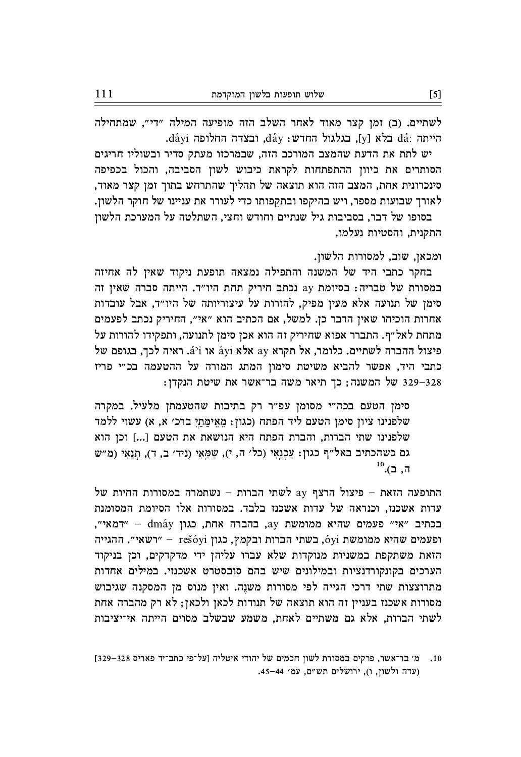לשתיים. (ב) זמן קצר מאוד לאחר השלב הזה מופיעה המילה "די", שמתחילה הייתה :dá בלא [y], בגלגול החדש: dáy, ובצדה החלופה dáyi.

יש לתת את הדעת שהמצב המורכב הזה, שבמרכזו מעתק סדיר ובשוליו חריגים הסותרים את כיוון ההתפתחות לקראת כיבוש לשון הסביבה, והכול בכפיפה סינכרונית אחת, המצב הזה הוא תוצאה של תהליך שהתרחש בתוך זמן קצר מאוד, לאורך שבועות מספר, ויש בהיקפו ובתקפותו כדי לעורר את עניינו של חוקר הלשון.

בסופו של דבר, בסביבות גיל שנתיים וחודש וחצי, השתלטה על המערכת הלשון התקנית, והסטיות נעלמו.

ומכאן, שוב, למסורות הלשון.

בחקר כתבי היד של המשנה והתפילה נמצאה תופעת ניקוד שאין לה אחיזה במסורת של טבריה: בסיומת ay נכתב חיריק תחת היו"ד. הייתה סברה שאין זה סימן של תנועה אלא מעין מפיק, להורות על עיצוריותה של היו"ד, אבל עובדות אחרות הוכיחו שאין הדבר כן. למשל, אם הכתיב הוא "אי", החיריק נכתב לפעמים מתחת לאל״ף. התברר אפוא שחיריק זה הוא אכן סימן לתנועה, ותפקידו להורות על  $\sigma$ לכך, בגופם של Aji x ay ay ay מקרא ay ay מיצול ההברה לשתיים. כלומר, אל ay ay מיצול ה כתבי היד, אפשר להביא משיטת סימון המתג המורה על ההטעמה בכ״י פריז ינקדן: 529–329 של המשנה; כך תיאר משה בר־אשר את שיטת הנקדן:

סימן הטעם בכה"י מסומן עפ"ר רק בתיבות שהטעמתן מלעיל. במקרה שלפנינו ציון סימן הטעם ליד הפתח (כגון: מֵאֵימֵתֵי ברכ׳ א, א) עשוי ללמד שלפנינו שתי הברות, והברת הפתח היא הנושאת את הטעם [...] וכן הוא גם כשהכתיב באל״ף כגון: עֲכְנַאֵי (כל׳ ה, י), שַמֲאֵי (ניד׳ ב, ד), תְנַאֵי (מ״ש  $^{10}$ . ב).

 $\frac{1}{2}$ התופעה הזאת – פיצול הרצף  $\frac{1}{2}$  לשתי הברות – נשתמרה במסורות החיות של עדות אשכנז, וכנראה של עדות אשכנז בלבד. במסורות אלו הסיומת המסומנת רכתיב "אי" פעמים שהיא ממומשת ay, בהברה אחת, כגון dmáy - "דמאי", רשאי". ההגייה - rešóyi רפעמים ו $\gamma$ , בשתי הברות ובקמץ, כגון rešóyi - רשאי". ההגייה הזאת משתקפת במשניות מנוקדות שלא עברו עליהן ידי מדקדקים, וכן בניקוד הערכים בקונקורדנציות ובמילונים שיש בהם סובסטרט אשכנזי. במילים אחדות מתרוצצות שתי דרכי הגייה לפי מסורות משנה. ואין מנוס מן המסקנה שגיבוש מסורות אשכנז בעניין זה הוא תוצאה של תנודות לכאן ולכאן; לא רק מהברה אחת לשתי הברות, אלא גם משתיים לאחת, משמע שבשלב מסוים הייתה אי־יציבות

מ׳ בר־אשר, פרקים במסורת לשון חכמים של יהודי איטליה [על־פי כתב־יד פאריס 328–329]  $\cdot$ .10 (עדה ולשון, ו), ירושלים תש״ם, עמ׳ 44–45.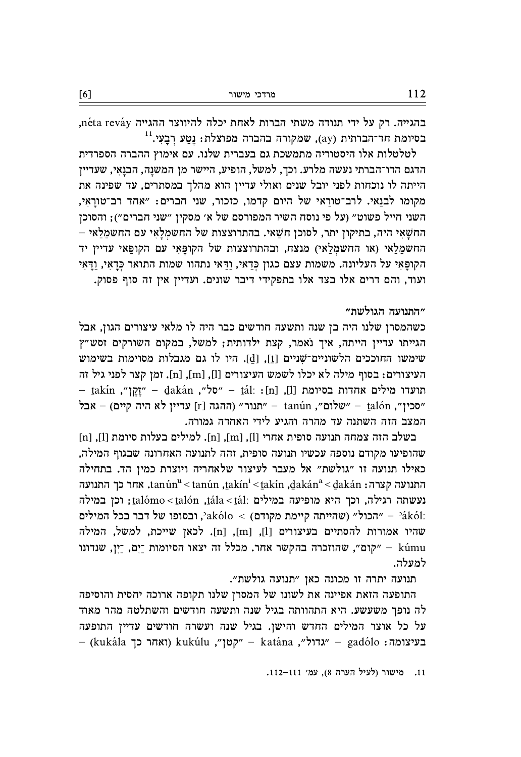התופעה הזאת אפיינה את לשונו של המסרן שלנו תקופה ארוכה יחסית והוסיפה לה נופך משעשע. היא התהוותה בגיל שנה ותשעה חודשים והשתלטה מהר מאוד על כל אוצר המילים החדש והישן. בגיל שנה ועשרה חודשים עדיין התופעה – (kukála לואחר כך kukúlu , "קטן" – katána האבל", – gadólo בעיצומה

תנועה יתרה זו מכונה כאן "תנועה גולשת".

בשלב הזה צמחה תנועה סופית אחרי [l], [m] (n]. למילים בעלות סיומת [l], [n] שהופיעו מקודם נוספה עכשיו תנועה סופית, זהה לתנועה האחרונה שבגוף המילה, כאילו תנועה זו "גולשת" אל מעבר לעיצור שלאחריה ויוצרת כמין הד. בתחילה תגועה לצרה: tanún" < tanún ,takín < takín ,dakán<br/>" < dakán התגועה האבועה ה נעשתה רגילה, וכך היא מופיעה במילים :talómo < talón ,tála < tál; וכך היא מופיעה במילה הכול" (שהייתה קיימת מקודם) > akólo</br>, ובסופו של דבר בכל המילים - "הכול" (שהייתה קיימת מקודם" שהיו אמורות להסתיים בעיצורים [1], [n], [n]. לכאן שייכת, למשל, המילה kúmu – "קום", שהוזכרה בהקשר אחר. מכלל זה יצאו הסיומות ־יָם, ־יָן, שנדונו למעלה.

– takín "חַקַן" – dakán "סל״, השׁבּל" – "חלא התיעדו מילים אחדות בסיומת [1], ובלים ה "סכין", נחהגה [r] שנדיין לא היה קיים) – אבל [r] שברין לא היה היים) – הכל הנח המצב הזה השתנה עד מהרה והגיע לידי האחדה גמורה.

לטלטלות אלו היסטוריה מתמשכת גם בעברית שלנו. עם אימוץ ההברה הספרדית הדגם הדו־הברתי נעשה מלרע. וכך, למשל, הופיע, היישר מן המשנֵה, הבנֵאֵי, שעדיין הייתה לו נוכחות לפני יובל שנים ואולי עדיין הוא מהלך במסתרים, עד שפינה את מקומו לבנֵאי. לרב־טורֲאי של היום קדמו, כזכור, שני חברים: "אחד רב־טורַאִי, השני חייל פשוט" (על פי נוסח השיר המפורסם של א' מסקין "שני חברים"); והסוכן החשַׁאַי היה, בתיקון יתר, לסוכן חשַאי. בהתרוצצות של החשמַלַאִי עם החשמַלַאי החשמלאי (או החשמלאי) מנצח, ובהתרוצצות של הקופאי עם הקופאי עדיין יד הקופאי על העליונה. משמות עצם כגון כדאי, ודאי נתהוו שמות התואר כדאי, ודאי ועוד, והם דרים אלו בצד אלו בתפקידי דיבר שונים. ועדיין אין זה סוף פסוק.

כשהמסרן שלנו היה בן שנה ותשעה חודשים כבר היה לו מלאי עיצורים הגון, אבל הגייתו עדיין הייתה, איך נאמר, קצת ילדותית; למשל, במקום השורקים זסש"ץ שימשו החוככים הלשוניים־שניים [t], [d]. היו לו גם מגבלות מסוימות בשימוש העיצורים: בסוף מילה לא יכלו לשמש העיצורים [l], [m], [n]. זמן קצר לפני גיל זה

בהגייה. רק על ידי תנודה משתי הברות לאחת יכלה להיווצר ההגייה néta reváy,  $^{11}$ בסיומת חד־הברתית (ay), שמקורה בהברה מפוצלת: נטע רבעי.

"התנועה הגולשת"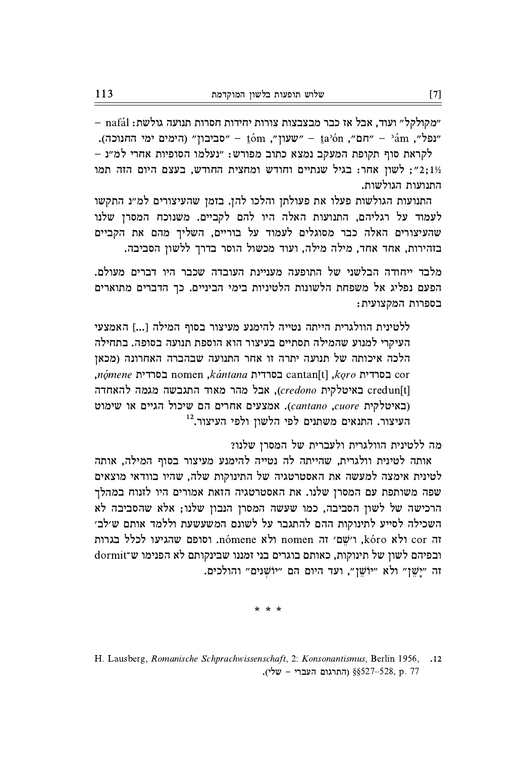"מקולקל" ועוד, אבל אז כבר מבצבצות צורות יחידות חסרות תנועה גולשת: nafál -"נפל", "חם", יוםס", ישעון", הימים ימי החנוכה). "שעון" - "חם", יוםל" - "חם", "חם", יום

לקראת סוף תקופת המעקב נמצא כתוב מפורש: "נעלמו הסופיות אחרי למ"נ לשון אחר: בגיל שנתיים וחודש ומחצית החודש, בעצם היום הזה תמו "2;11 התנועות הגולשות.

התנועות הגולשות פעלו את פעולתן והלכו להן. בזמן שהעיצורים למ״נ התקשו לעמוד על רגליהם, התנועות האלה היו להם לקביים. משנוכח המסרן שלנו שהעיצורים האלה כבר מסוגלים לעמוד על בוריים, השליך מהם את הקביים בזהירות, אחד אחד, מילה מילה, ועוד מכשול הוסר בדרך ללשון הסביבה.

מלבד ייחודה הבלשני של התופעה מעניינת העובדה שכבר היו דברים מעולם. הפעם נפליג אל משפחת הלשונות הלטיניות בימי הביניים. כך הדברים מתוארים בספרות המקצועית:

ללטינית הוולגרית הייתה נטייה להימנע מעיצור בסוף המילה [...] האמצעי העיקרי למנוע שהמילה תסתיים בעיצור הוא הוספת תנועה בסופה. בתחילה הלכה איכותה של תנועה יתרה זו אחר התנועה שבהברה האחרונה (מכאן  $n\acute{o}mene$ בסרדית nomen גל $k\acute{a}ntana$ בסרדית cantan[t] בחרדית cor באיטלקית credun[t], אבל מהר מאוד התגבשה מגמה להאחדה ובאיטלקית cantano ,cuore). אמצעים אחרים הם שיכול הגיים או שימוט העיצור. התנאים משתנים לפי הלשון ולפי העיצור.<sup>12</sup>

מה ללטינית הוולגרית ולעברית של המסרן שלנו?

אותה לטינית וולגרית, שהייתה לה נטייה להימנע מעיצור בסוף המילה, אותה לטינית אימצה למעשה את האסטרטגיה של התינוקות שלה, שהיו בוודאי מוצאים שפה משותפת עם המסרן שלנו. את האסטרטגיה הזאת אמורים היו לזנוח במהלך הרכישה של לשון הסביבה, כמו שעשה המסרן הנבון שלנו; אלא שהסביבה לא השכילה לסייע לתינוקות ההם להתגבר על לשונם המשעשעת וללמד אותם ש׳לב׳ ror ולא kóro, ו'שם' זה nomen ולא nomen. וסופם שהגיעו לכלל בגרות ובפיהם לשון של תינוקות, כאותם בוגרים בני זמננו שבינקותם לא הפנימו ש־dormit זה "ישן" ולא "יוֹשן", ועד היום הם "יוֹשנים" והולכים.

\* \* \*

H. Lausberg, Romanische Schprachwissenschaft, 2: Konsonantismus, Berlin 1956,  $.12$ . התרגום העברי - שלי),  $\S$ 527–528, p. 77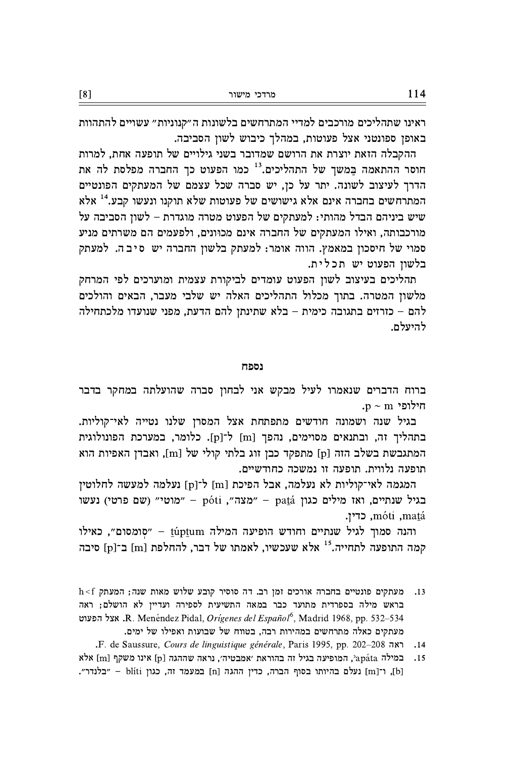ראינו שתהליכים מורכבים למדיי המתרחשים בלשונות ה״קנוניות״ עשויים להתהוות באופן ספונטני אצל פעוטות, במהלך כיבוש לשון הסביבה.

ההקבלה הזאת יוצרת את הרושם שמדובר בשני גילויים של תופעה אחת, למרות חוסר ההתאמה במשך של התהליכים.<sup>13</sup> כמו הפעוט כך החברה מפלסת לה את הדרך לעיצוב לשונה. יתר על כן, יש סברה שכל עצמם של המעתקים הפונטיים המתרחשים בחברה אינם אלא גישושים של פעוטות שלא תוקנו ונעשו קבע.<sup>14</sup> אלא שיש ביניהם הבדל מהותי: למעתקים של הפעוט מטרה מוגדרת – לשון הסביבה על מורכבותה, ואילו המעתקים של החברה אינם מכוּונים, ולפעמים הם משרתים מניע סמוי של חיסכון במאמץ. הווה אומר: למעתק בלשון החברה יש סיבה. למעתק בלשון הפעוט יש תכלית.

תהליכים בעיצוב לשון הפעוט עומדים לביקורת עצמית ומוערכים לפי המרחק מלשון המטרה. בתוך מכלול התהליכים האלה יש שלבי מעבר, הבאים והולכים להם – כזרזים בתגובה כימית – בלא שתינתן להם הדעת, מפני שנועדו מלכתחילה להיעלם.

## נספח

ברוח הדברים שנאמרו לעיל מבקש אני לבחון סברה שהועלתה במחקר בדבר .p ~ m ילופי

בגיל שנה ושמונה חודשים מתפתחת אצל המסרן שלנו נטייה לאי־קוליות. בתהליך זה, ובתנאים מסוימים, נהפך [m] ל־[p]. כלומר, במערכת הפונולוגית המתגבשת בשלב הזה [p] מתפקד כבן זוג בלתי קולי של [m], ואבדן האפיות הוא תופעה נלווית. תופעה זו נמשכה כחודשיים.

המגמה לאי־קוליות לא נעלמה, אבל הפיכת [m] ל־[p] נעלמה למעשה לחלוטין בגיל שנתיים, ואז מילים כגון patá – "מצה", póti – "מוטי" (שם פרטי) נעשו máti ,matá, כדין.

והנה סמוך לגיל שנתיים וחודש הופיעה המילה túptum - "סומסום", כאילו קמה התופעה לתחייה.<sup>15</sup> אלא שעכשיו, לאמתו של דבר, להחלפת [m] ב־[p] סיבה

- $\rm h\,{<}\,f$ רב. דה סוסיר קובע שלוש מאות שנה; המעתק המעתקים פונטיים בחברה ה  $.13$ בראש מילה בספרדית מתועד כבר במאה התשיעית לספירה ועדיין לא הושלם; ראה R. Menéndez Pidal, Orígenes del Español<sup>6</sup>, Madrid 1968, pp. 532-534. אצל הפעוט מעתקים כאלה מתרחשים במהירות רבה, בטווח של שבועות ואפילו של ימים.
	- .F. de Saussure, Cours de linguistique générale, Paris 1995, pp. 202-208  $.14$
- במילה apáta', המופיעה בגיל זה בהוראת 'אמבטיה', נראה שההגה [p] אינו משקף [m] אלא  $.15$ [b], ו־[m] נעלם בהיותו בסוף הברה, כדין ההגה [n] במעמד זה, כגון blíti - "בלנדר".